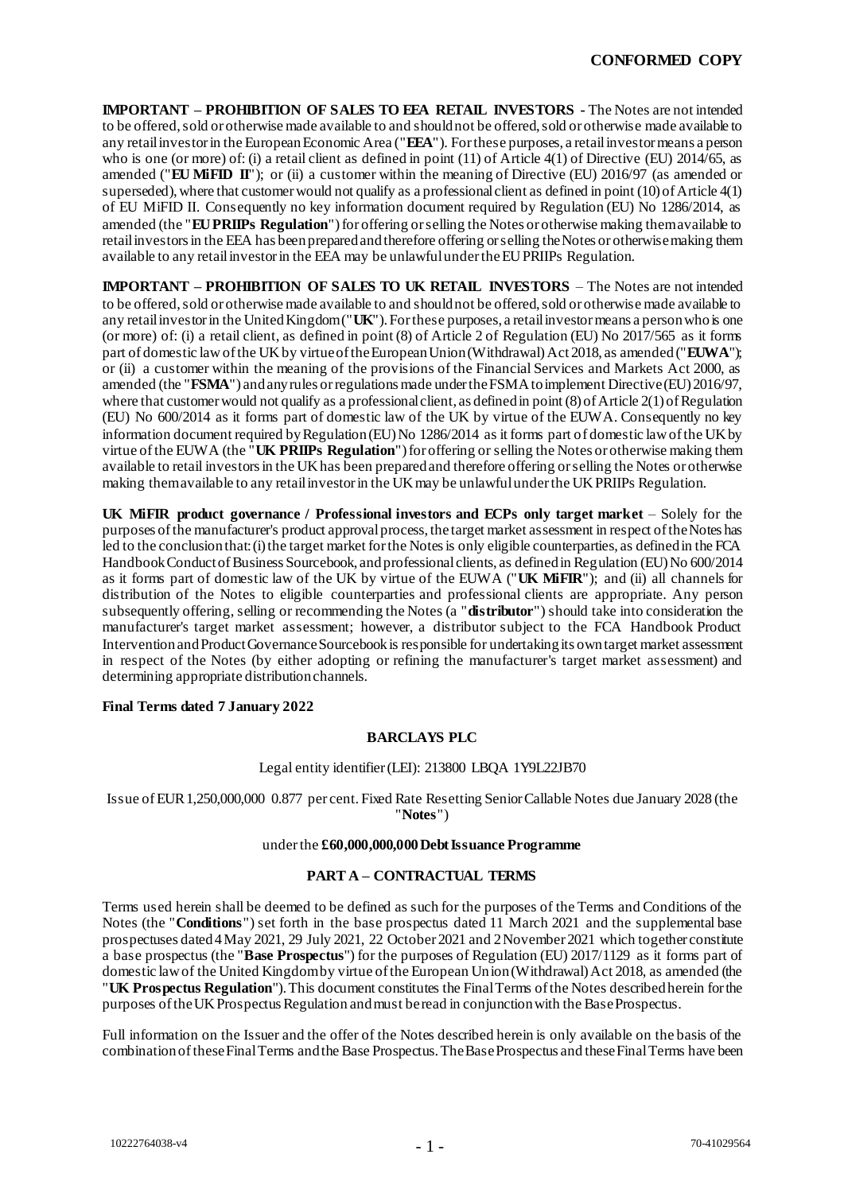**IMPORTANT – PROHIBITION OF SALES TO EEA RETAIL INVESTORS -** The Notes are not intended to be offered, sold or otherwise made available to and should not be offered, sold or otherwise made available to any retail investor in the European Economic Area ("**EEA**"). For these purposes, a retail investor means a person who is one (or more) of: (i) a retail client as defined in point (11) of Article 4(1) of Directive (EU) 2014/65, as amended ("**EU MiFID II**"); or (ii) a customer within the meaning of Directive (EU) 2016/97 (as amended or superseded), where that customer would not qualify as a professional client as defined in point (10) of Article 4(1) of EU MiFID II. Consequently no key information document required by Regulation (EU) No 1286/2014, as amended (the "**EU PRIIPs Regulation**") for offering or selling the Notes or otherwise making them available to retail investors in the EEA has been prepared and therefore offering or selling the Notes or otherwise making them available to any retail investor in the EEA may be unlawful under the EU PRIIPs Regulation.

**IMPORTANT – PROHIBITION OF SALES TO UK RETAIL INVESTORS** – The Notes are not intended to be offered, sold or otherwise made available to and should not be offered, sold or otherwise made available to any retail investor in the United Kingdom ("**UK**"). For these purposes, a retail investor means a person who is one (or more) of: (i) a retail client, as defined in point (8) of Article 2 of Regulation (EU) No 2017/565 as it forms part of domestic law of the UK by virtue of the European Union (Withdrawal) Act 2018, as amended ("**EUWA**"); or (ii) a customer within the meaning of the provisions of the Financial Services and Markets Act 2000, as amended (the "**FSMA**") and any rules or regulations made under the FSMA to implement Directive (EU) 2016/97, where that customer would not qualify as a professional client, as defined in point (8) of Article 2(1) of Regulation (EU) No 600/2014 as it forms part of domestic law of the UK by virtue of the EUWA. Consequently no key information document required by Regulation (EU) No 1286/2014 as it forms part of domestic law of the UK by virtue of the EUWA (the "**UK PRIIPs Regulation**") for offering or selling the Notes or otherwise making them available to retail investors in the UK has been prepared and therefore offering or selling the Notes or otherwise making them available to any retail investor in the UK may be unlawful under the UK PRIIPs Regulation.

**UK MiFIR product governance / Professional investors and ECPs only target market** – Solely for the purposes ofthe manufacturer's product approval process, the target market assessment in respect of the Notes has led to the conclusion that: (i) the target market for the Notes is only eligible counterparties, as defined in the FCA Handbook Conduct of Business Sourcebook, and professional clients, as defined in Regulation (EU) No 600/2014 as it forms part of domestic law of the UK by virtue of the EUWA ("**UK MiFIR**"); and (ii) all channels for distribution of the Notes to eligible counterparties and professional clients are appropriate. Any person subsequently offering, selling or recommending the Notes (a "**distributor**") should take into consideration the manufacturer's target market assessment; however, a distributor subject to the FCA Handbook Product Intervention and Product Governance Sourcebook is responsible for undertaking its own target market assessment in respect of the Notes (by either adopting or refining the manufacturer's target market assessment) and determining appropriate distribution channels.

## **Final Terms dated 7 January 2022**

# **BARCLAYS PLC**

## Legal entity identifier (LEI): 213800 LBQA 1Y9L22JB70

Issue of EUR 1,250,000,000 0.877 per cent. Fixed Rate Resetting Senior Callable Notes due January 2028 (the "**Notes**")

#### under the **£60,000,000,000 Debt Issuance Programme**

### **PART A – CONTRACTUAL TERMS**

Terms used herein shall be deemed to be defined as such for the purposes of the Terms and Conditions of the Notes (the "**Conditions**") set forth in the base prospectus dated 11 March 2021 and the supplemental base prospectuses dated 4 May 2021, 29 July 2021, 22 October 2021 and 2 November 2021 which together constitute a base prospectus (the "**Base Prospectus**") for the purposes of Regulation (EU) 2017/1129 as it forms part of domestic law of the United Kingdom by virtue of the European Union (Withdrawal) Act 2018, as amended (the "**UK Prospectus Regulation**"). This document constitutes the Final Terms of the Notes described herein for the purposes of the UK Prospectus Regulation and must be read in conjunction with the Base Prospectus.

Full information on the Issuer and the offer of the Notes described herein is only available on the basis of the combination of these Final Terms and the Base Prospectus. The Base Prospectus and these Final Terms have been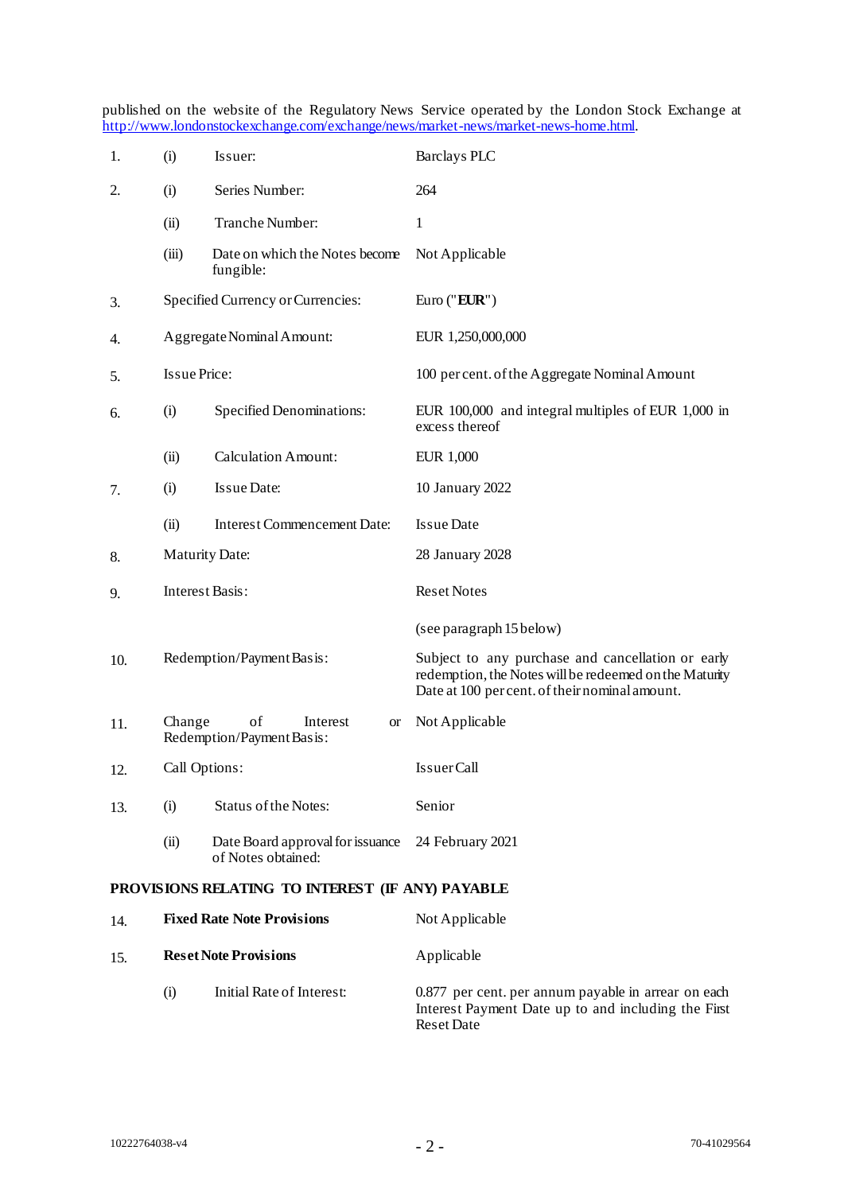published on the website of the Regulatory News Service operated by the London Stock Exchange at [http://www.londonstockexchange.com/exchange/news/market-news/market-news-home.html.](http://www.londonstockexchange.com/exchange/news/market-news/market-news-home.html)

| 1.  | (i)                    | Issuer:                                                 | <b>Barclays PLC</b>                                                                                                                                           |
|-----|------------------------|---------------------------------------------------------|---------------------------------------------------------------------------------------------------------------------------------------------------------------|
| 2.  | (i)                    | Series Number:                                          | 264                                                                                                                                                           |
|     | (ii)                   | Tranche Number:                                         | 1                                                                                                                                                             |
|     | (iii)                  | Date on which the Notes become<br>fungible:             | Not Applicable                                                                                                                                                |
| 3.  |                        | Specified Currency or Currencies:                       | Euro ("EUR")                                                                                                                                                  |
| 4.  |                        | Aggregate Nominal Amount:                               | EUR 1,250,000,000                                                                                                                                             |
| 5.  | Is sue Price:          |                                                         | 100 per cent. of the Aggregate Nominal Amount                                                                                                                 |
| 6.  | (i)                    | Specified Denominations:                                | EUR 100,000 and integral multiples of EUR 1,000 in<br>excess thereof                                                                                          |
|     | (ii)                   | <b>Calculation Amount:</b>                              | <b>EUR 1,000</b>                                                                                                                                              |
| 7.  | (i)                    | Issue Date:                                             | 10 January 2022                                                                                                                                               |
|     | (ii)                   | <b>Interest Commencement Date:</b>                      | <b>Issue Date</b>                                                                                                                                             |
| 8.  | <b>Maturity Date:</b>  |                                                         | 28 January 2028                                                                                                                                               |
| 9.  | <b>Interest Basis:</b> |                                                         | <b>Reset Notes</b>                                                                                                                                            |
|     |                        |                                                         | (see paragraph 15 below)                                                                                                                                      |
| 10. |                        | Redemption/Payment Basis:                               | Subject to any purchase and cancellation or early<br>redemption, the Notes will be redeemed on the Maturity<br>Date at 100 per cent. of their nominal amount. |
| 11. | Change                 | of<br>Interest<br><b>or</b><br>Redemption/PaymentBasis: | Not Applicable                                                                                                                                                |
| 12. | Call Options:          |                                                         | <b>IssuerCall</b>                                                                                                                                             |
| 13. | (i)                    | <b>Status of the Notes:</b>                             | Senior                                                                                                                                                        |
|     | (ii)                   | Date Board approval for issuance<br>of Notes obtained:  | 24 February 2021                                                                                                                                              |
|     |                        | PROVISIONS RELATING TO INTEREST (IF ANY) PAYABLE        |                                                                                                                                                               |
| 14. |                        | <b>Fixed Rate Note Provisions</b>                       | Not Applicable                                                                                                                                                |
| 15. |                        | <b>Reset Note Provisions</b>                            | Applicable                                                                                                                                                    |

(i) Initial Rate of Interest: 0.877 per cent. per annum payable in arrear on each Interest Payment Date up to and including the First Reset Date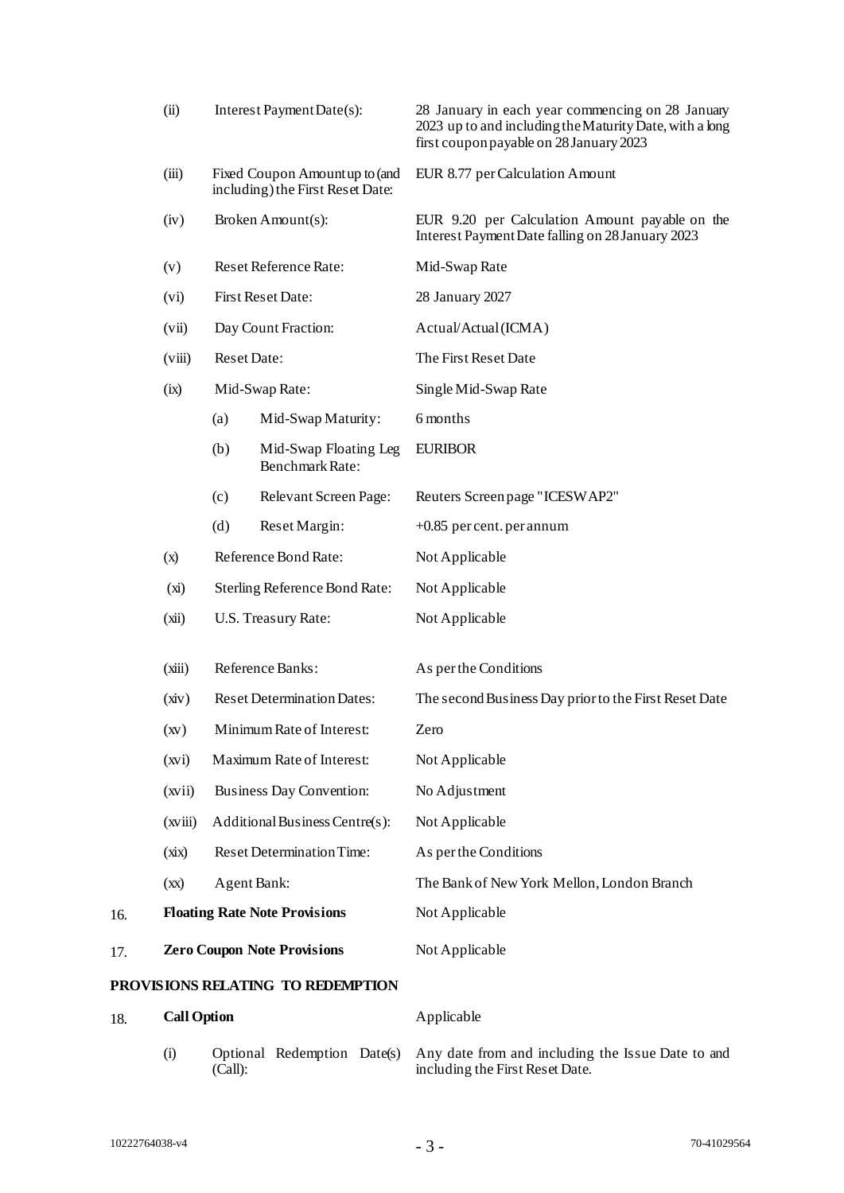|                                   | (ii)                                                                                                                        |                    | Interest Payment Date(s):                                          | 28 January in each year commencing on 28 January<br>2023 up to and including the Maturity Date, with a long<br>first coupon payable on 28 January 2023 |
|-----------------------------------|-----------------------------------------------------------------------------------------------------------------------------|--------------------|--------------------------------------------------------------------|--------------------------------------------------------------------------------------------------------------------------------------------------------|
|                                   | (iii)                                                                                                                       |                    | Fixed Coupon Amount up to (and<br>including) the First Reset Date: | EUR 8.77 per Calculation Amount                                                                                                                        |
|                                   | (iv)                                                                                                                        |                    | Broken Amount(s):                                                  | EUR 9.20 per Calculation Amount payable on the<br>Interest Payment Date falling on 28 January 2023                                                     |
|                                   | (v)                                                                                                                         |                    | Reset Reference Rate:                                              | Mid-Swap Rate                                                                                                                                          |
|                                   | (vi)                                                                                                                        |                    | <b>First Reset Date:</b>                                           | 28 January 2027                                                                                                                                        |
|                                   | (vii)                                                                                                                       |                    | Day Count Fraction:                                                | Actual/Actual (ICMA)                                                                                                                                   |
|                                   | (viii)                                                                                                                      | <b>Reset Date:</b> |                                                                    | The First Reset Date                                                                                                                                   |
|                                   | (ix)                                                                                                                        |                    | Mid-Swap Rate:                                                     | Single Mid-Swap Rate                                                                                                                                   |
|                                   |                                                                                                                             | (a)                | Mid-Swap Maturity:                                                 | 6 months                                                                                                                                               |
|                                   |                                                                                                                             | (b)                | Mid-Swap Floating Leg<br>Benchmark Rate:                           | <b>EURIBOR</b>                                                                                                                                         |
|                                   |                                                                                                                             | (c)                | Relevant Screen Page:                                              | Reuters Screen page "ICESWAP2"                                                                                                                         |
|                                   |                                                                                                                             | (d)                | Reset Margin:                                                      | $+0.85$ per cent. per annum                                                                                                                            |
|                                   | (x)                                                                                                                         |                    | Reference Bond Rate:                                               | Not Applicable                                                                                                                                         |
|                                   | (xi)                                                                                                                        |                    | Sterling Reference Bond Rate:                                      | Not Applicable                                                                                                                                         |
|                                   | (xii)                                                                                                                       |                    | U.S. Treasury Rate:                                                | Not Applicable                                                                                                                                         |
|                                   | Reference Banks:<br>(xiii)<br><b>Reset Determination Dates:</b><br>(xiv)<br>Minimum Rate of Interest:<br>$\left( xy\right)$ |                    |                                                                    | As per the Conditions                                                                                                                                  |
|                                   |                                                                                                                             |                    |                                                                    | The second Business Day prior to the First Reset Date                                                                                                  |
|                                   |                                                                                                                             |                    |                                                                    | Zero                                                                                                                                                   |
|                                   | (xvi)                                                                                                                       |                    | Maximum Rate of Interest:                                          | Not Applicable                                                                                                                                         |
|                                   | (xvii)                                                                                                                      |                    | Business Day Convention:                                           | No Adjustment                                                                                                                                          |
|                                   | (xviii)                                                                                                                     |                    | Additional Business Centre(s):                                     | Not Applicable                                                                                                                                         |
|                                   | (xix)                                                                                                                       |                    | <b>Reset Determination Time:</b>                                   | As per the Conditions                                                                                                                                  |
|                                   | (xx)                                                                                                                        | Agent Bank:        |                                                                    | The Bank of New York Mellon, London Branch                                                                                                             |
| 16.                               | <b>Floating Rate Note Provisions</b>                                                                                        |                    |                                                                    | Not Applicable                                                                                                                                         |
| 17.                               | <b>Zero Coupon Note Provisions</b>                                                                                          |                    |                                                                    | Not Applicable                                                                                                                                         |
| PROVISIONS RELATING TO REDEMPTION |                                                                                                                             |                    |                                                                    |                                                                                                                                                        |

| 18. | <b>Call Option</b> |         | Applicable |                                                                                                                 |
|-----|--------------------|---------|------------|-----------------------------------------------------------------------------------------------------------------|
|     | (1)                | (Call): |            | Optional Redemption Dates) Any date from and including the Issue Date to and<br>including the First Reset Date. |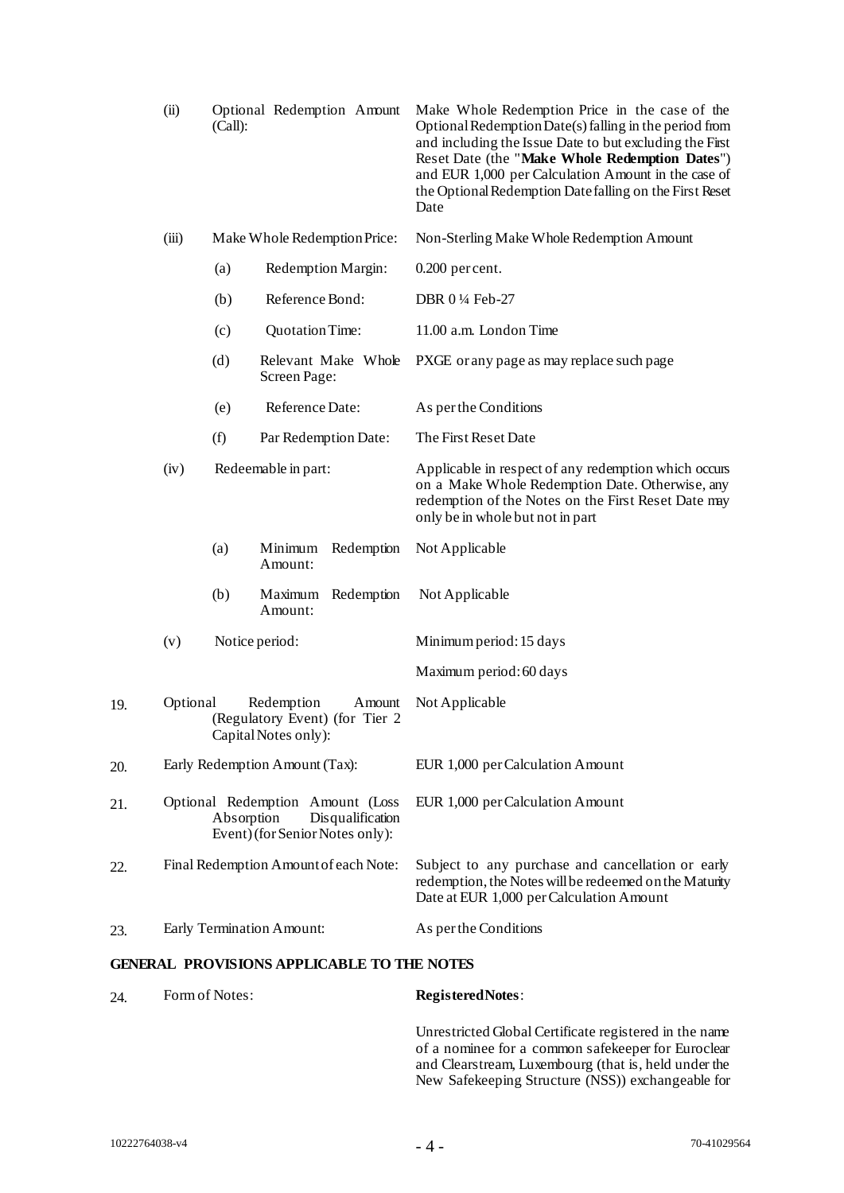|     | (ii)     | (Call):             | Optional Redemption Amount                                                              | Make Whole Redemption Price in the case of the<br>Optional Redemption Date(s) falling in the period from<br>and including the Issue Date to but excluding the First<br>Reset Date (the "Make Whole Redemption Dates")<br>and EUR 1,000 per Calculation Amount in the case of<br>the Optional Redemption Date falling on the First Reset<br>Date |
|-----|----------|---------------------|-----------------------------------------------------------------------------------------|-------------------------------------------------------------------------------------------------------------------------------------------------------------------------------------------------------------------------------------------------------------------------------------------------------------------------------------------------|
|     | (iii)    |                     | Make Whole Redemption Price:                                                            | Non-Sterling Make Whole Redemption Amount                                                                                                                                                                                                                                                                                                       |
|     |          | (a)                 | Redemption Margin:                                                                      | $0.200$ per cent.                                                                                                                                                                                                                                                                                                                               |
|     |          | (b)                 | Reference Bond:                                                                         | DBR 0 ¼ Feb-27                                                                                                                                                                                                                                                                                                                                  |
|     |          | (c)                 | Quotation Time:                                                                         | 11.00 a.m. London Time                                                                                                                                                                                                                                                                                                                          |
|     |          | (d)                 | Relevant Make Whole<br>Screen Page:                                                     | PXGE or any page as may replace such page                                                                                                                                                                                                                                                                                                       |
|     |          | (e)                 | Reference Date:                                                                         | As per the Conditions                                                                                                                                                                                                                                                                                                                           |
|     |          | (f)                 | Par Redemption Date:                                                                    | The First Reset Date                                                                                                                                                                                                                                                                                                                            |
|     | (iv)     | Redeemable in part: |                                                                                         | Applicable in respect of any redemption which occurs<br>on a Make Whole Redemption Date. Otherwise, any<br>redemption of the Notes on the First Reset Date may<br>only be in whole but not in part                                                                                                                                              |
|     |          | (a)                 | Minimum Redemption<br>Amount:                                                           | Not Applicable                                                                                                                                                                                                                                                                                                                                  |
|     |          | (b)                 | Maximum Redemption<br>Amount:                                                           | Not Applicable                                                                                                                                                                                                                                                                                                                                  |
|     | (v)      |                     | Notice period:                                                                          | Minimum period: 15 days                                                                                                                                                                                                                                                                                                                         |
|     |          |                     |                                                                                         | Maximum period: 60 days                                                                                                                                                                                                                                                                                                                         |
| 19. | Optional |                     | Redemption<br>Amount<br>(Regulatory Event) (for Tier 2<br>Capital Notes only):          | Not Applicable                                                                                                                                                                                                                                                                                                                                  |
| 20. |          |                     | Early Redemption Amount (Tax):                                                          | EUR 1,000 per Calculation Amount                                                                                                                                                                                                                                                                                                                |
| 21. |          | Absorption          | Optional Redemption Amount (Loss<br>Disqualification<br>Event) (for Senior Notes only): | EUR 1,000 per Calculation Amount                                                                                                                                                                                                                                                                                                                |
| 22. |          |                     | Final Redemption Amount of each Note:                                                   | Subject to any purchase and cancellation or early<br>redemption, the Notes will be redeemed on the Maturity<br>Date at EUR 1,000 per Calculation Amount                                                                                                                                                                                         |
| 23. |          |                     | Early Termination Amount:                                                               | As per the Conditions                                                                                                                                                                                                                                                                                                                           |
|     |          |                     |                                                                                         |                                                                                                                                                                                                                                                                                                                                                 |

# **GENERAL PROVISIONS APPLICABLE TO THE NOTES**

| 24. | Form of Notes: | <b>Registered Notes:</b>                               |
|-----|----------------|--------------------------------------------------------|
|     |                | Unrestricted Global Certificate registered in the name |
|     |                | of a nominee for a common safekeeper for Euroclear     |
|     |                | and Clearstream, Luxembourg (that is, held under the   |
|     |                | New Safekeeping Structure (NSS)) exchangeable for      |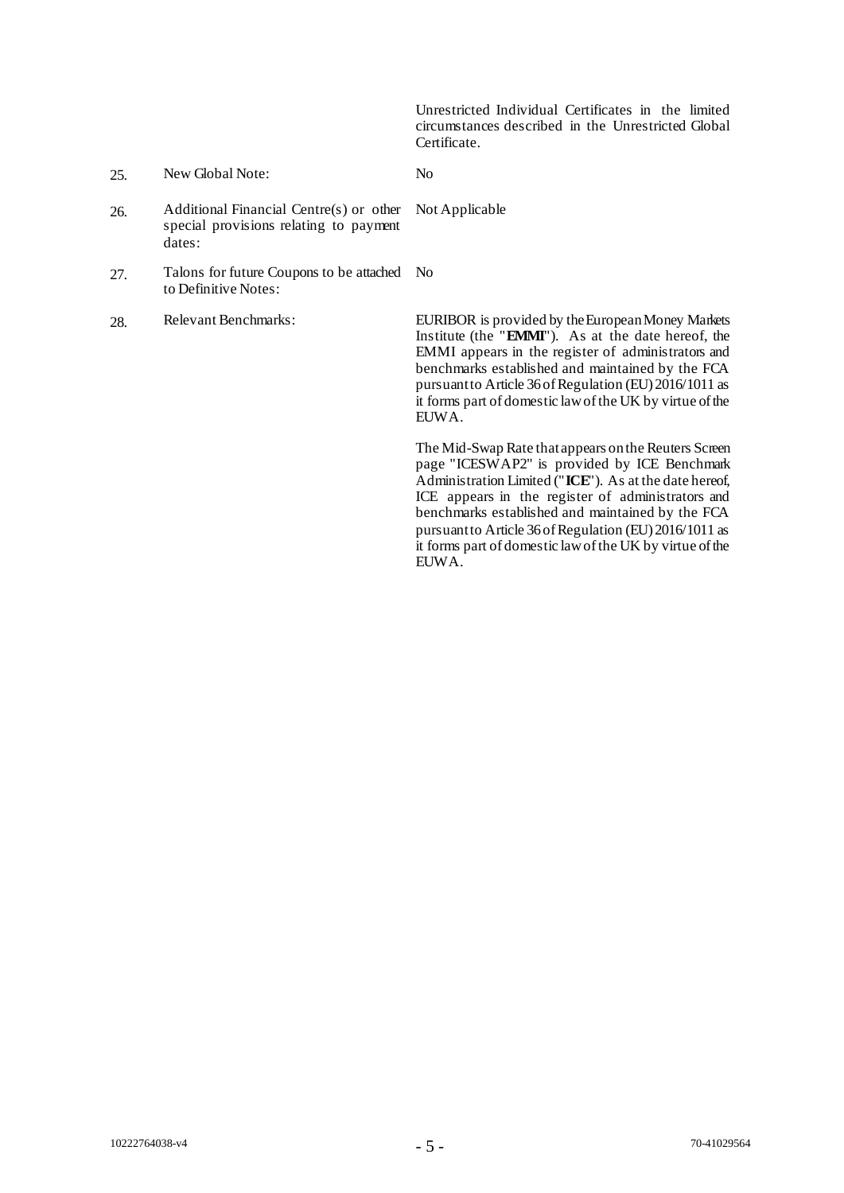Unrestricted Individual Certificates in the limited circumstances described in the Unrestricted Global Certificate.

25. New Global Note: No

Not Applicable

- 26. Additional Financial Centre(s) or other special provisions relating to payment dates:
- 27. Talons for future Coupons to be attached No to Definitive Notes:
- 

28. Relevant Benchmarks: EURIBOR is provided by the European Money Markets Institute (the "**EMMI**"). As at the date hereof, the EMMI appears in the register of administrators and benchmarks established and maintained by the FCA pursuant to Article 36of Regulation (EU) 2016/1011 as it forms part of domestic law of the UK by virtue of the EUWA.

> The Mid-Swap Rate that appears on the Reuters Screen page "ICESWAP2" is provided by ICE Benchmark Administration Limited ("**ICE**"). As at the date hereof, ICE appears in the register of administrators and benchmarks established and maintained by the FCA pursuant to Article 36 of Regulation (EU) 2016/1011 as it forms part of domestic law of the UK by virtue of the EUWA.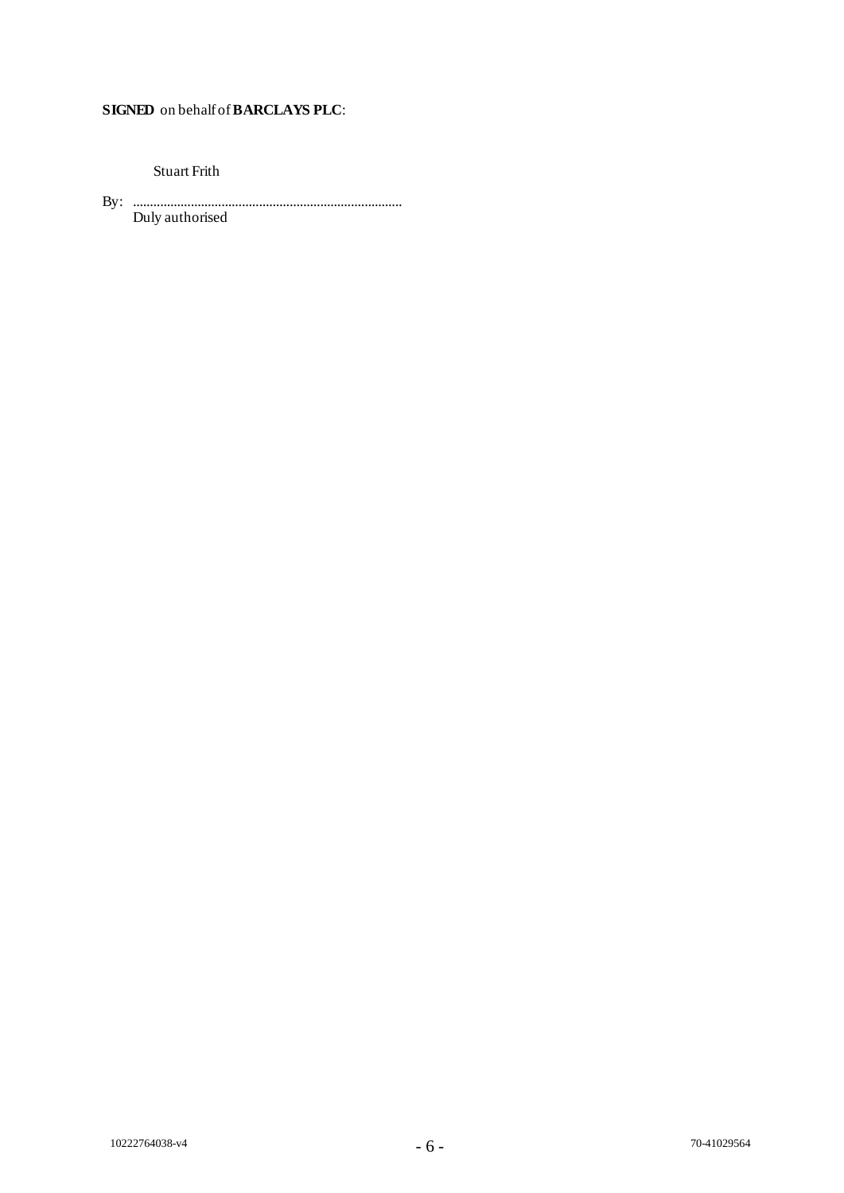# **SIGNED** on behalf of **BARCLAYS PLC**:

Stuart Frith

By: ............................................................................... Duly authorised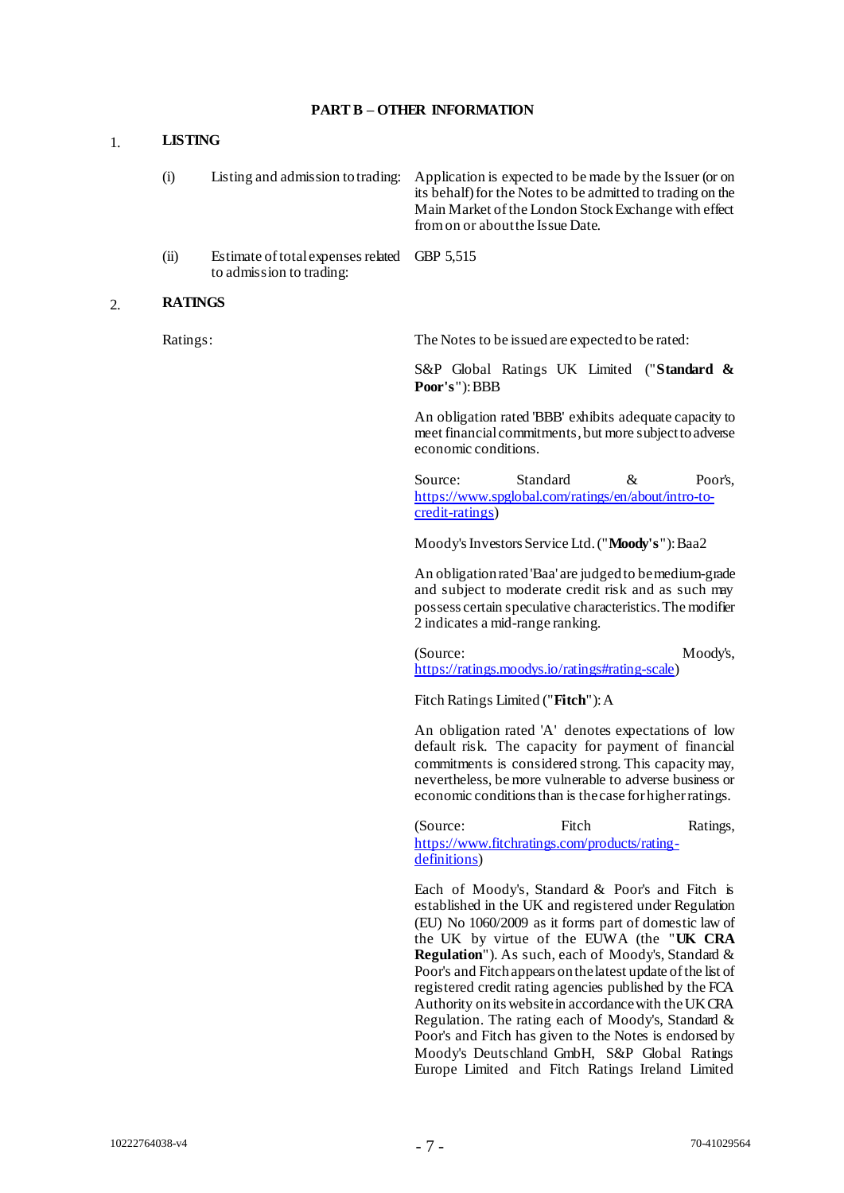### **PART B – OTHER INFORMATION**

#### 1. **LISTING**

| (i)        |                                               | Listing and admission to trading: Application is expected to be made by the Issuer (or on<br>its behalf) for the Notes to be admitted to trading on the<br>Main Market of the London Stock Exchange with effect<br>from on or about the Issue Date. |
|------------|-----------------------------------------------|-----------------------------------------------------------------------------------------------------------------------------------------------------------------------------------------------------------------------------------------------------|
| $\sqrt{2}$ | $Estimate of total amangos related CDD 5.515$ |                                                                                                                                                                                                                                                     |

(ii) Estimate of total expenses related GBP 5,515 to admission to trading:

#### 2. **RATINGS**

Ratings: The Notes to be issued are expected to be rated:

S&P Global Ratings UK Limited ("**Standard & Poor's**"): BBB

An obligation rated 'BBB' exhibits adequate capacity to meet financial commitments, but more subject to adverse economic conditions.

Source: Standard & Poor's, [https://www.spglobal.com/ratings/en/about/intro-to](https://www.spglobal.com/ratings/en/about/intro-to-credit-ratings)[credit-ratings](https://www.spglobal.com/ratings/en/about/intro-to-credit-ratings))

Moody's Investors Service Ltd. ("**Moody's**"): Baa2

An obligation rated 'Baa' are judged to be medium-grade and subject to moderate credit risk and as such may possess certain speculative characteristics. The modifier 2 indicates a mid-range ranking.

(Source: Moody's, [https://ratings.moodys.io/ratings#rating-scale\)](https://ratings.moodys.io/ratings#rating-scale)

Fitch Ratings Limited ("**Fitch**"): A

An obligation rated 'A' denotes expectations of low default risk. The capacity for payment of financial commitments is considered strong. This capacity may, nevertheless, be more vulnerable to adverse business or economic conditions than is the case for higher ratings.

(Source: Fitch Ratings, [https://www.fitchratings.com/products/rating](https://www.fitchratings.com/products/rating-definitions)[definitions](https://www.fitchratings.com/products/rating-definitions))

Each of Moody's, Standard & Poor's and Fitch is established in the UK and registered under Regulation (EU) No 1060/2009 as it forms part of domestic law of the UK by virtue of the EUWA (the "**UK CRA Regulation**"). As such, each of Moody's, Standard & Poor's and Fitch appears on the latest update of the list of registered credit rating agencies published by the FCA Authority on its website in accordance with theUK CRA Regulation. The rating each of Moody's, Standard & Poor's and Fitch has given to the Notes is endorsed by Moody's Deutschland GmbH, S&P Global Ratings Europe Limited and Fitch Ratings Ireland Limited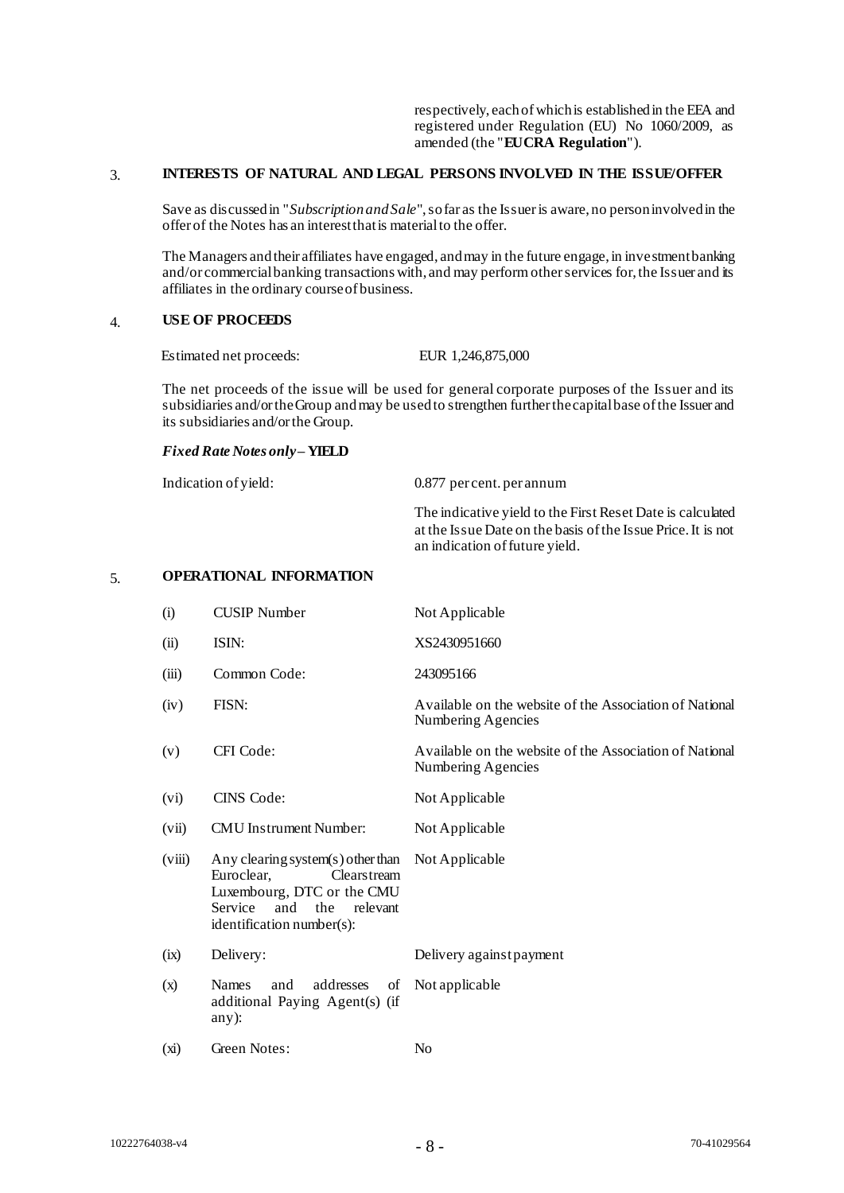respectively, each ofwhich is established in the EEA and registered under Regulation (EU) No 1060/2009, as amended (the "**EU CRA Regulation**").

#### 3. **INTERESTS OF NATURAL AND LEGAL PERSONS INVOLVED IN THE ISSUE/OFFER**

Save as discussed in "*Subscription and Sale*", so far as the Issuer is aware, no person involved in the offer of the Notes has an interest that is material to the offer.

The Managers and their affiliates have engaged, and may in the future engage, in investment banking and/or commercial banking transactions with, and may perform other services for, the Issuer and its affiliates in the ordinary course of business.

# 4. **USE OF PROCEEDS**

Estimated net proceeds: EUR 1,246,875,000

The net proceeds of the issue will be used for general corporate purposes of the Issuer and its subsidiaries and/or the Group and may be used to strengthen further the capital base of the Issuer and its subsidiaries and/or the Group.

*Fixed Rate Notes only* **– YIELD**

| Indication of yield: | 0.877 percent. per annum                                                                                                                                     |
|----------------------|--------------------------------------------------------------------------------------------------------------------------------------------------------------|
|                      | The indicative yield to the First Reset Date is calculated<br>at the Issue Date on the basis of the Issue Price. It is not<br>an indication of future yield. |

## 5. **OPERATIONAL INFORMATION**

| (i)    | <b>CUSIP</b> Number                                                                                                                                            | Not Applicable                                                                |
|--------|----------------------------------------------------------------------------------------------------------------------------------------------------------------|-------------------------------------------------------------------------------|
| (ii)   | ISIN:                                                                                                                                                          | XS2430951660                                                                  |
| (iii)  | Common Code:                                                                                                                                                   | 243095166                                                                     |
| (iv)   | FISN:                                                                                                                                                          | Available on the website of the Association of National<br>Numbering Agencies |
| (v)    | CFI Code:                                                                                                                                                      | Available on the website of the Association of National<br>Numbering Agencies |
| (vi)   | CINS Code:                                                                                                                                                     | Not Applicable                                                                |
| (vii)  | <b>CMU</b> Instrument Number:                                                                                                                                  | Not Applicable                                                                |
| (viii) | Any clearing system(s) other than<br>Euroclear,<br>Clearstream<br>Luxembourg, DTC or the CMU<br>and<br>the<br>relevant<br>Service<br>identification number(s): | Not Applicable                                                                |
| (ix)   | Delivery:                                                                                                                                                      | Delivery against payment                                                      |
| (x)    | addresses<br><b>Names</b><br>and<br>of<br>additional Paying Agent(s) (if<br>$any)$ :                                                                           | Not applicable                                                                |
| (xi)   | Green Notes:                                                                                                                                                   | N <sub>o</sub>                                                                |